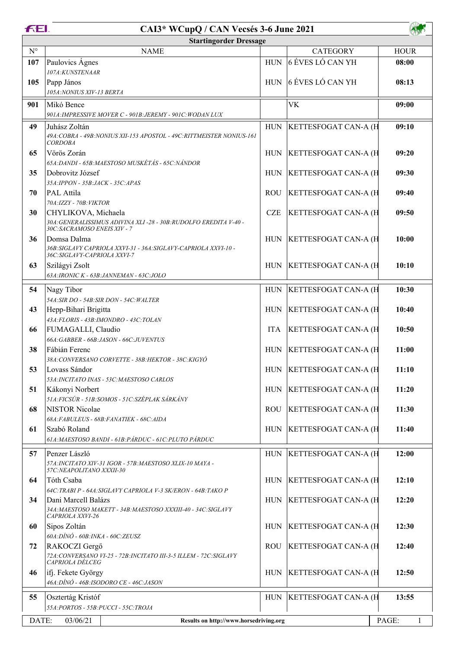| <b>FEI.</b><br>CAI3* WCupQ / CAN Vecsés 3-6 June 2021       |                                                                                                  |            |                              |             |  |  |
|-------------------------------------------------------------|--------------------------------------------------------------------------------------------------|------------|------------------------------|-------------|--|--|
|                                                             | <b>Startingorder Dressage</b>                                                                    |            |                              |             |  |  |
| $\mathbf{N}^{\circ}$                                        | <b>NAME</b>                                                                                      |            | <b>CATEGORY</b>              | <b>HOUR</b> |  |  |
| 107                                                         | Paulovics Ágnes                                                                                  | <b>HUN</b> | 6 ÉVES LÓ CAN YH             | 08:00       |  |  |
|                                                             | 107A:KUNSTENAAR                                                                                  |            |                              |             |  |  |
| 105                                                         | Papp János                                                                                       | <b>HUN</b> | 6 ÉVES LÓ CAN YH             | 08:13       |  |  |
|                                                             | 105A:NONIUS XIV-13 BERTA                                                                         |            |                              |             |  |  |
| 901                                                         | Mikó Bence                                                                                       |            | <b>VK</b>                    | 09:00       |  |  |
|                                                             | 901A: IMPRESSIVE MOVER C - 901B: JEREMY - 901C: WODAN LUX                                        |            |                              |             |  |  |
| 49                                                          | Juhász Zoltán                                                                                    | <b>HUN</b> | KETTESFOGAT CAN-A (H         | 09:10       |  |  |
|                                                             | 49A: COBRA - 49B: NONIUS XII-153 APOSTOL - 49C: RITTMEISTER NONIUS-161<br><b>CORDOBA</b>         |            |                              |             |  |  |
| 65                                                          | Vörös Zorán                                                                                      |            | HUN KETTESFOGAT CAN-A (H     | 09:20       |  |  |
|                                                             | 65A: DANDI - 65B: MAESTOSO MUSKÉTÁS - 65C: NÁNDOR                                                |            |                              |             |  |  |
| 35                                                          | Dobrovitz József                                                                                 | <b>HUN</b> | <b>KETTESFOGAT CAN-A (H</b>  | 09:30       |  |  |
|                                                             | 35A: IPPON - 35B: JACK - 35C: APAS                                                               |            |                              |             |  |  |
| 70                                                          | PAL Attila                                                                                       | <b>ROU</b> | KETTESFOGAT CAN-A (H         | 09:40       |  |  |
|                                                             | 70A:IZZY - 70B:VIKTOR                                                                            |            |                              |             |  |  |
| 30                                                          | CHYLIKOVA, Michaela                                                                              | <b>CZE</b> | <b>KETTESFOGAT CAN-A (H</b>  | 09:50       |  |  |
|                                                             | 30A: GENERALISSIMUS ADIVINA XLI-28 - 30B: RUDOLFO EREDITA V-40 -<br>30C: SACRAMOSO ENEIS XIV - 7 |            |                              |             |  |  |
| 36                                                          | Domsa Dalma                                                                                      | <b>HUN</b> | <b>KETTESFOGAT CAN-A (H)</b> | 10:00       |  |  |
|                                                             | 36B: SIGLAVY CAPRIOLA XXVI-31 - 36A: SIGLAVY-CAPRIOLA XXVI-10 -                                  |            |                              |             |  |  |
| 63                                                          | 36C:SIGLAVY-CAPRIOLA XXVI-7<br>Szilágyi Zsolt                                                    | <b>HUN</b> | KETTESFOGAT CAN-A (H         | 10:10       |  |  |
|                                                             | 63A:IRONIC K - 63B:JANNEMAN - 63C:JOLO                                                           |            |                              |             |  |  |
|                                                             |                                                                                                  |            |                              |             |  |  |
| 54                                                          | Nagy Tibor<br>54A:SIR DO - 54B:SIR DON - 54C:WALTER                                              | <b>HUN</b> | KETTESFOGAT CAN-A (H         | 10:30       |  |  |
| 43                                                          | Hepp-Bihari Brigitta                                                                             | <b>HUN</b> | <b>KETTESFOGAT CAN-A (H</b>  | 10:40       |  |  |
|                                                             | 43A:FLORIS - 43B:IMONDRO - 43C:TOLAN                                                             |            |                              |             |  |  |
| 66                                                          | FUMAGALLI, Claudio                                                                               | <b>ITA</b> | KETTESFOGAT CAN-A (H         | 10:50       |  |  |
|                                                             | 66A:GABBER - 66B:JASON - 66C:JUVENTUS                                                            |            |                              |             |  |  |
| 38                                                          | Fábián Ferenc                                                                                    | HUN        | <b>KETTESFOGAT CAN-A (H)</b> | 11:00       |  |  |
|                                                             | 38A: CONVERSANO CORVETTE - 38B: HEKTOR - 38C: KIGYÓ                                              |            |                              |             |  |  |
| 53                                                          | Lovass Sándor                                                                                    | <b>HUN</b> | <b>KETTESFOGAT CAN-A (H</b>  | 11:10       |  |  |
| 51                                                          | 53A: INCITATO INAS - 53C: MAESTOSO CARLOS                                                        | <b>HUN</b> | <b>KETTESFOGAT CAN-A (H</b>  | 11:20       |  |  |
|                                                             | Kákonyi Norbert<br>51A: FICSÚR - 51B: SOMOS - 51C: SZÉPLAK SÁRKÁNY                               |            |                              |             |  |  |
| 68                                                          | <b>NISTOR Nicolae</b>                                                                            | <b>ROU</b> | <b>KETTESFOGAT CAN-A (H</b>  | 11:30       |  |  |
|                                                             | 68A:FABULEUS - 68B:FANATIEK - 68C:AIDA                                                           |            |                              |             |  |  |
| 61                                                          | Szabó Roland                                                                                     | <b>HUN</b> | KETTESFOGAT CAN-A (H         | 11:40       |  |  |
|                                                             | 61A: MAESTOSO BANDI - 61B: PÁRDUC - 61C: PLUTO PÁRDUC                                            |            |                              |             |  |  |
| 57                                                          | Penzer László                                                                                    | <b>HUN</b> | KETTESFOGAT CAN-A (H         | 12:00       |  |  |
|                                                             | 57A: INCITATO XIV-31 IGOR - 57B: MAESTOSO XLIX-10 MAYA -                                         |            |                              |             |  |  |
|                                                             | 57C: NEAPOLITANO XXXII-30                                                                        |            |                              |             |  |  |
| 64                                                          | Tóth Csaba<br>64C: TRABI P - 64A: SIGLAVY CAPRIOLA V-3 SK/ERON - 64B: TAKO P                     | <b>HUN</b> | KETTESFOGAT CAN-A (H         | 12:10       |  |  |
| 34                                                          | Dani Marcell Balázs                                                                              | HUN        | <b>KETTESFOGAT CAN-A (H</b>  | 12:20       |  |  |
|                                                             | 34A: MAESTOSO MAKETT - 34B: MAESTOSO XXXIII-40 - 34C: SIGLAVY                                    |            |                              |             |  |  |
|                                                             | CAPRIOLA XXVI-26                                                                                 |            |                              |             |  |  |
| 60                                                          | Sipos Zoltán                                                                                     | <b>HUN</b> | KETTESFOGAT CAN-A (H         | 12:30       |  |  |
| 72                                                          | $60A:$ DÍNÓ - $60B:$ INKA - $60C:$ ZEUSZ<br>RAKOCZI Gergő                                        | <b>ROU</b> | KETTESFOGAT CAN-A (H         | 12:40       |  |  |
|                                                             | 72A: CONVERSANO VI-25 - 72B: INCITATO III-3-5 ILLEM - 72C: SIGLAVY                               |            |                              |             |  |  |
|                                                             | CAPRIOLA DÉLCEG                                                                                  |            |                              |             |  |  |
| 46                                                          | ifj. Fekete György                                                                               | <b>HUN</b> | KETTESFOGAT CAN-A (H         | 12:50       |  |  |
|                                                             | 46A:DÍNÓ - 46B:ISODORO CE - 46C:JASON                                                            |            |                              |             |  |  |
| 55                                                          | Osztertág Kristóf                                                                                | <b>HUN</b> | <b>KETTESFOGAT CAN-A (H</b>  | 13:55       |  |  |
|                                                             | 55A:PORTOS - 55B:PUCCI - 55C:TROJA                                                               |            |                              |             |  |  |
| DATE:<br>03/06/21<br>Results on http://www.horsedriving.org |                                                                                                  |            |                              | PAGE:<br>1  |  |  |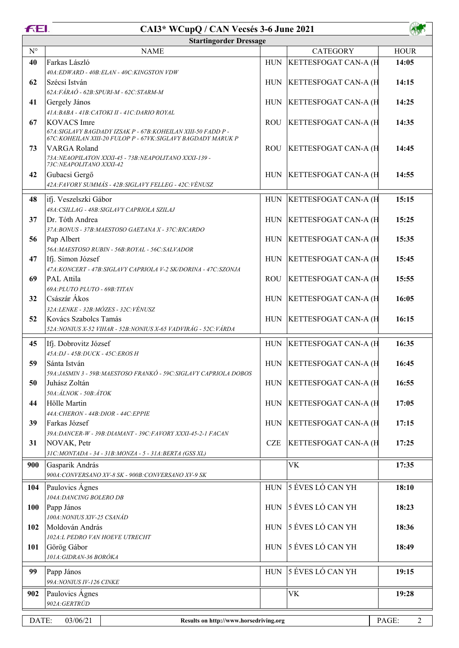|             | <b>FEI.</b><br>CAI3* WCupQ / CAN Vecsés 3-6 June 2021                                 |             |                              |             |
|-------------|---------------------------------------------------------------------------------------|-------------|------------------------------|-------------|
|             | <b>Startingorder Dressage</b>                                                         |             |                              |             |
| $N^{\circ}$ | <b>NAME</b>                                                                           |             | <b>CATEGORY</b>              | <b>HOUR</b> |
| 40          | Farkas László                                                                         | <b>HUN</b>  | KETTESFOGAT CAN-A (H         | 14:05       |
|             | 40A:EDWARD - 40B:ELAN - 40C:KINGSTON VDW                                              |             |                              |             |
| 62          | Szécsi István                                                                         | <b>HUN</b>  | <b>KETTESFOGAT CAN-A (H)</b> | 14:15       |
|             | 62A:FÁRAÓ - 62B:SPURI-M - 62C:STARM-M                                                 |             |                              |             |
| 41          | Gergely János                                                                         | <b>HUN</b>  | <b>KETTESFOGAT CAN-A (H)</b> | 14:25       |
| 67          | 41A: BABA - 41B: CATOKI II - 41C: DARIO ROYAL<br><b>KOVACS</b> Imre                   | <b>ROU</b>  | <b>KETTESFOGAT CAN-A (H</b>  | 14:35       |
|             | 67A: SIGLAVY BAGDADY IZSAK P - 67B: KOHEILAN XIII-50 FADD P -                         |             |                              |             |
|             | 67C: KOHEILAN XIII-20 FULOP P - 67VK: SIGLAVY BAGDADY MARUK P                         |             |                              |             |
| 73          | VARGA Roland                                                                          | <b>ROU</b>  | KETTESFOGAT CAN-A (H         | 14:45       |
|             | 73A: NEAOPILATON XXXI-45 - 73B: NEAPOLITANO XXXI-139 -<br>73C: NEAPOLITANO XXXI-42    |             |                              |             |
| 42          | Gubacsi Gergő                                                                         | <b>HUN</b>  | KETTESFOGAT CAN-A (H         | 14:55       |
|             | 42A:FAVORY SUMMÁS - 42B:SIGLAVY FELLEG - 42C:VÉNUSZ                                   |             |                              |             |
|             |                                                                                       |             |                              |             |
| 48          | ifj. Veszelszki Gábor                                                                 | <b>HUN</b>  | KETTESFOGAT CAN-A (H         | 15:15       |
| 37          | 48A: CSILLAG - 48B: SIGLAVY CAPRIOLA SZILAJ<br>Dr. Tóth Andrea                        | <b>HUN</b>  | <b>KETTESFOGAT CAN-A (H</b>  | 15:25       |
|             | 37A:BONUS - 37B:MAESTOSO GAETANA X - 37C:RICARDO                                      |             |                              |             |
| 56          | Pap Albert                                                                            | <b>HUN</b>  | <b>KETTESFOGAT CAN-A (H</b>  | 15:35       |
|             | 56A: MAESTOSO RUBIN - 56B: ROYAL - 56C: SALVADOR                                      |             |                              |             |
| 47          | Ifj. Simon József                                                                     | <b>HUN</b>  | <b>KETTESFOGAT CAN-A (H</b>  | 15:45       |
|             | 47A:KONCERT - 47B:SIGLAVY CAPRIOLA V-2 SK/DORINA - 47C:SZONJA                         |             |                              |             |
| 69          | PAL Attila                                                                            | <b>ROU</b>  | <b>KETTESFOGAT CAN-A (H</b>  | 15:55       |
|             | 69A: PLUTO PLUTO - 69B: TITAN                                                         |             |                              |             |
| 32          | Császár Ákos                                                                          | <b>HUN</b>  | <b>KETTESFOGAT CAN-A (H</b>  | 16:05       |
|             | 32A:LENKE - 32B:MÓZES - 32C:VÉNUSZ                                                    |             |                              |             |
| 52          | Kovács Szabolcs Tamás<br>52A:NONIUS X-52 VIHAR - 52B:NONIUS X-65 VADVIRÁG - 52C:VÁRDA | <b>HUN</b>  | <b>KETTESFOGAT CAN-A (H</b>  | 16:15       |
|             |                                                                                       |             |                              |             |
| 45          | Ifj. Dobrovitz József                                                                 | <b>HUN</b>  | KETTESFOGAT CAN-A (H         | 16:35       |
|             | 45A:DJ - 45B:DUCK - 45C:EROS H                                                        |             |                              |             |
| 59          | Sánta István<br>59A: JASMIN 3 - 59B: MAESTOSO FRANKÓ - 59C: SIGLAVY CAPRIOLA DOBOS    |             | HUN   KETTESFOGAT CAN-A (H   | 16:45       |
| 50          | Juhász Zoltán                                                                         | <b>HUN</b>  | <b>KETTESFOGAT CAN-A (H</b>  | 16:55       |
|             | 50A:ÁLNOK - 50B:ÁTOK                                                                  |             |                              |             |
| 44          | Hölle Martin                                                                          | <b>HUN</b>  | KETTESFOGAT CAN-A (H         | 17:05       |
|             | 44A: CHERON - 44B: DIOR - 44C: EPPIE                                                  |             |                              |             |
| 39          | Farkas József                                                                         | <b>HUN</b>  | <b>KETTESFOGAT CAN-A (H</b>  | 17:15       |
|             | 39A:DANCER-W - 39B:DIAMANT - 39C:FAVORY XXXI-45-2-1 FACAN                             |             |                              |             |
| 31          | NOVAK, Petr                                                                           | <b>CZE</b>  | KETTESFOGAT CAN-A (H         | 17:25       |
|             | 31C: MONTADA - 34 - 31B: MONZA - 5 - 31A: BERTA (GSS XL)                              |             |                              |             |
| 900         | Gasparik András                                                                       |             | <b>VK</b>                    | 17:35       |
|             | 900A: CONVERSANO XV-8 SK - 900B: CONVERSANO XV-9 SK                                   |             |                              |             |
| 104         | Paulovics Agnes                                                                       | <b>HUN</b>  | 5 ÉVES LÓ CAN YH             | 18:10       |
|             | 104A:DANCING BOLERO DB                                                                |             |                              |             |
| 100         | Papp János                                                                            | <b>HUN</b>  | 5 ÉVES LÓ CAN YH             | 18:23       |
|             | 100A:NONIUS XIV-25 CSANÁD                                                             |             | 5 ÉVES LÓ CAN YH             |             |
| 102         | Moldován András<br>102A:L PEDRO VAN HOEVE UTRECHT                                     | <b>HUN</b>  |                              | 18:36       |
| 101         | Görög Gábor                                                                           | <b>HUN</b>  | 5 ÉVES LÓ CAN YH             | 18:49       |
|             | 101A: GIDRAN-36 BORÓKA                                                                |             |                              |             |
|             |                                                                                       |             |                              |             |
| 99          | Papp János                                                                            | ${\rm HUN}$ | 5 ÉVES LÓ CAN YH             | 19:15       |

## *902A:GERTRÚD* DATE: 03/06/21 **Results on http://www.horsedriving.org** PAGE: 2

**902** Paulovics Ágnes **19:28** 

*99A:NONIUS IV-126 CINKE*

-4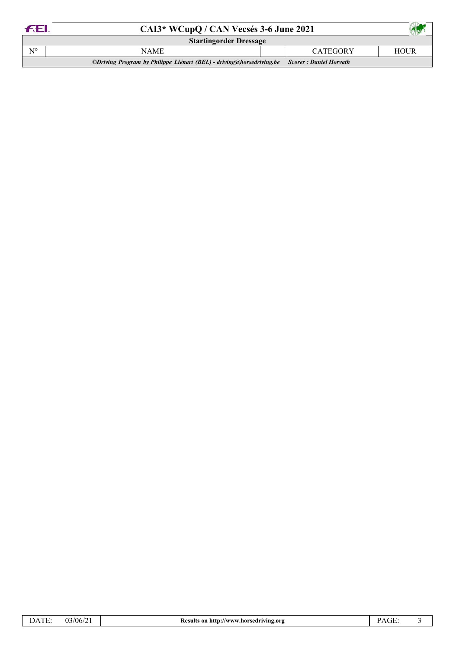| <b>FEL</b>                                                                                   | CAI3* WCupQ / CAN Vecsés 3-6 June 2021 |  |                 |             |  |
|----------------------------------------------------------------------------------------------|----------------------------------------|--|-----------------|-------------|--|
|                                                                                              | <b>Startingorder Dressage</b>          |  |                 |             |  |
| $N^{\circ}$                                                                                  | <b>NAME</b>                            |  | <b>CATEGORY</b> | <b>HOUR</b> |  |
| ©Driving Program by Philippe Liénart (BEL) - driving@horsedriving.be Scorer : Daniel Horvath |                                        |  |                 |             |  |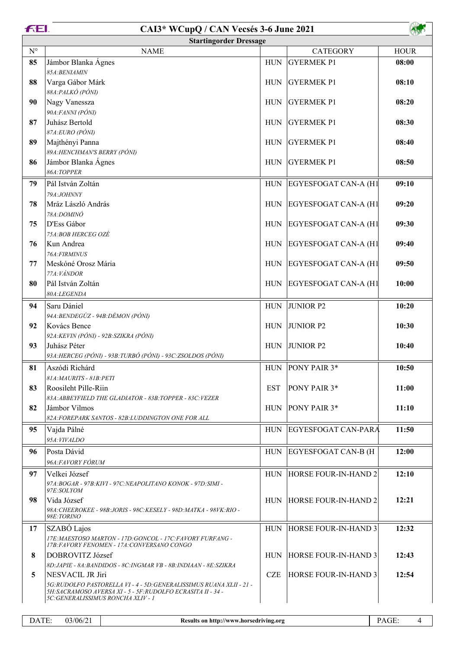| <b>FEI.</b> | CAI3* WCupQ / CAN Vecsés 3-6 June 2021                                                 |            |                             |             |  |  |
|-------------|----------------------------------------------------------------------------------------|------------|-----------------------------|-------------|--|--|
|             | <b>Startingorder Dressage</b>                                                          |            |                             |             |  |  |
| $N^{\circ}$ | <b>NAME</b>                                                                            |            | <b>CATEGORY</b>             | <b>HOUR</b> |  |  |
| 85          | Jámbor Blanka Ágnes                                                                    | <b>HUN</b> | <b>GYERMEK P1</b>           | 08:00       |  |  |
|             | 85A: BENIAMIN                                                                          |            |                             |             |  |  |
| 88          | Varga Gábor Márk                                                                       | <b>HUN</b> | <b>GYERMEK P1</b>           | 08:10       |  |  |
|             | 88A: PALKÓ (PÓNI)                                                                      |            |                             |             |  |  |
| 90          | Nagy Vanessza<br>90A:FANNI (PÓNI)                                                      | <b>HUN</b> | <b>GYERMEK P1</b>           | 08:20       |  |  |
| 87          | Juhász Bertold                                                                         | <b>HUN</b> | <b>GYERMEK P1</b>           | 08:30       |  |  |
|             | 87A:EURO (PÓNI)                                                                        |            |                             |             |  |  |
| 89          | Majthényi Panna                                                                        | <b>HUN</b> | <b>GYERMEK P1</b>           | 08:40       |  |  |
|             | 89A: HENCHMAN'S BERRY (PÓNI)                                                           |            |                             |             |  |  |
| 86          | Jámbor Blanka Ágnes                                                                    | <b>HUN</b> | <b>GYERMEK P1</b>           | 08:50       |  |  |
|             | 86A:TOPPER                                                                             |            |                             |             |  |  |
| 79          | Pál István Zoltán                                                                      | <b>HUN</b> | <b>EGYESFOGAT CAN-A (H1</b> | 09:10       |  |  |
|             | 79A:JOHNNY                                                                             |            |                             |             |  |  |
| 78          | Mráz László András                                                                     | HUN        | EGYESFOGAT CAN-A (H1        | 09:20       |  |  |
| 75          | 78A:DOMINÓ<br>D'Ess Gábor                                                              |            |                             | 09:30       |  |  |
|             | 75A:BOB HERCEG OZÉ                                                                     | HUN        | EGYESFOGAT CAN-A (H1        |             |  |  |
| 76          | Kun Andrea                                                                             | HUN        | EGYESFOGAT CAN-A (H1        | 09:40       |  |  |
|             | 76A:FIRMINUS                                                                           |            |                             |             |  |  |
| 77          | Meskóné Orosz Mária                                                                    |            | HUN EGYESFOGAT CAN-A (H1    | 09:50       |  |  |
|             | 77A: VÁNDOR                                                                            |            |                             |             |  |  |
| 80          | Pál István Zoltán                                                                      | HUN        | EGYESFOGAT CAN-A (H1        | 10:00       |  |  |
|             | 80A:LEGENDA                                                                            |            |                             |             |  |  |
| 94          | Saru Dániel                                                                            | <b>HUN</b> | <b>JUNIOR P2</b>            | 10:20       |  |  |
|             | 94A: BENDEGÚZ - 94B: DÉMON (PÓNI)                                                      |            |                             |             |  |  |
| 92          | Kovács Bence<br>92A: KEVIN (PÓNI) - 92B: SZIKRA (PÓNI)                                 | <b>HUN</b> | <b>JUNIOR P2</b>            | 10:30       |  |  |
| 93          | Juhász Péter                                                                           | <b>HUN</b> | <b>JUNIOR P2</b>            | 10:40       |  |  |
|             | 93A: HERCEG (PÓNI) - 93B: TURBÓ (PÓNI) - 93C: ZSOLDOS (PÓNI)                           |            |                             |             |  |  |
| 81          | Aszódi Richárd                                                                         |            | HUN   PONY PAIR 3*          | 10:50       |  |  |
|             | 81A: MAURITS - 81B: PETI                                                               |            |                             |             |  |  |
| 83          | Roosileht Pille-Riin                                                                   | <b>EST</b> | <b>PONY PAIR 3*</b>         | 11:00       |  |  |
|             | 83A: ABBEYFIELD THE GLADIATOR - 83B: TOPPER - 83C: VEZER                               |            |                             |             |  |  |
| 82          | Jámbor Vilmos                                                                          |            | HUN PONY PAIR 3*            | 11:10       |  |  |
|             | 82A: FOREPARK SANTOS - 82B: LUDDINGTON ONE FOR ALL                                     |            |                             |             |  |  |
| 95          | Vajda Pálné                                                                            | <b>HUN</b> | <b>EGYESFOGAT CAN-PARA</b>  | 11:50       |  |  |
|             | 95A: VIVALDO                                                                           |            |                             |             |  |  |
| 96          | Posta Dávid                                                                            | <b>HUN</b> | <b>EGYESFOGAT CAN-B (H</b>  | 12:00       |  |  |
|             | 96A:FAVORY FÓRUM                                                                       |            |                             |             |  |  |
| 97          | Velkei József<br>97A:BOGAR - 97B:KIVI - 97C:NEAPOLITANO KONOK - 97D:SIMI -             | <b>HUN</b> | HORSE FOUR-IN-HAND 2        | 12:10       |  |  |
|             | 97E:SOLYOM                                                                             |            |                             |             |  |  |
| 98          | Vida József                                                                            |            | HUN  HORSE FOUR-IN-HAND 2   | 12:21       |  |  |
|             | 98A: CHEEROKEE - 98B: JORIS - 98C: KESELY - 98D: MATKA - 98VK: RIO -<br>98E:TORINO     |            |                             |             |  |  |
| 17          | SZABÓ Lajos                                                                            | <b>HUN</b> | HORSE FOUR-IN-HAND 3        | 12:32       |  |  |
|             | 17E: MAESTOSO MARTON - 17D: GONCOL - 17C: FAVORY FURFANG -                             |            |                             |             |  |  |
|             | 17B:FAVORY FENOMEN - 17A:CONVERSANO CONGO                                              |            |                             |             |  |  |
| 8           | DOBROVITZ József                                                                       | <b>HUN</b> | <b>HORSE FOUR-IN-HAND 3</b> | 12:43       |  |  |
|             | 8D; JAPIE - 8A; BANDIDOS - 8C; INGMAR VB - 8B; INDIAAN - 8E; SZIKRA                    |            |                             |             |  |  |
| 5           | NESVACIL JR Jiri<br>5G:RUDOLFO PASTORELLA VI - 4 - 5D:GENERALISSIMUS RUANA XLII - 21 - | <b>CZE</b> | <b>HORSE FOUR-IN-HAND 3</b> | 12:54       |  |  |
|             | 5H: SACRAMOSO AVERSA XI - 5 - 5F: RUDOLFO ECRASITA II - 34 -                           |            |                             |             |  |  |
|             | 5C: GENERALISSIMUS RONCHA XLIV - 1                                                     |            |                             |             |  |  |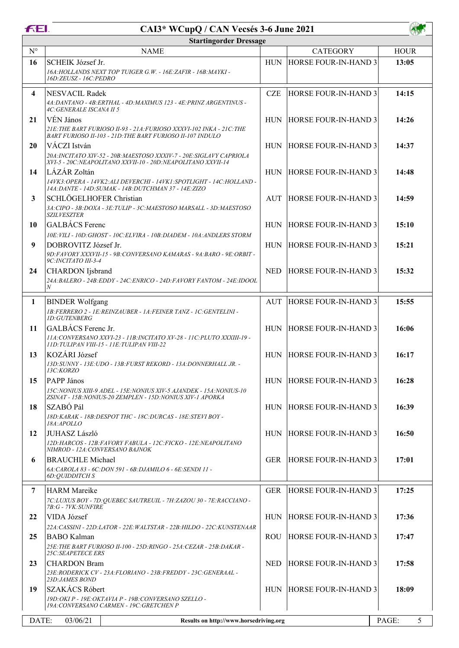## **CAI3\* WCupQ / CAN Vecsés 3-6 June 2021**

| <b>FEL</b>     | CAI3* WCupQ / CAN Vecsés 3-6 June 2021                                                                                            |            |                             |             |  |
|----------------|-----------------------------------------------------------------------------------------------------------------------------------|------------|-----------------------------|-------------|--|
|                | <b>Startingorder Dressage</b>                                                                                                     |            |                             |             |  |
| $N^{\circ}$    | <b>NAME</b>                                                                                                                       |            | <b>CATEGORY</b>             | <b>HOUR</b> |  |
| 16             | SCHEIK József Jr.                                                                                                                 | <b>HUN</b> | <b>HORSE FOUR-IN-HAND 3</b> | 13:05       |  |
|                | 16A: HOLLANDS NEXT TOP TUIGER G.W. - 16E: ZAFIR - 16B: MAYKI -<br>16D:ZEUSZ - 16C:PEDRO                                           |            |                             |             |  |
|                |                                                                                                                                   |            |                             |             |  |
| 4              | <b>NESVACIL Radek</b><br>4A;DANTANO - 4B;ERTHAL - 4D;MAXIMUS 123 - 4E;PRINZ ARGENTINUS -                                          | <b>CZE</b> | <b>HORSE FOUR-IN-HAND 3</b> | 14:15       |  |
|                | <i><b>4C:GENERALE ISCANA II 5</b></i>                                                                                             |            |                             |             |  |
| 21             | VÉN János                                                                                                                         | <b>HUN</b> | <b>HORSE FOUR-IN-HAND 3</b> | 14:26       |  |
|                | 21E: THE BART FURIOSO II-93 - 21A: FURIOSO XXXVI-102 INKA - 21C: THE<br>BART FURIOSO II-103 - 21D: THE BART FURIOSO II-107 INDULO |            |                             |             |  |
| 20             | VÁCZI István                                                                                                                      |            | HUN HORSE FOUR-IN-HAND 3    | 14:37       |  |
|                | 20A:INCITATO XIV-52 - 20B:MAESTOSO XXXIV-7 - 20E:SIGLAVY CAPRIOLA                                                                 |            |                             |             |  |
|                | XVI-5 - 20C:NEAPOLITANO XXVII-10 - 20D:NEAPOLITANO XXVII-14                                                                       |            |                             |             |  |
| 14             | LÁZÁR Zoltán<br>14VK3: OPERA - 14VK2: ALI DEVERCHI - 14VK1: SPOTLIGHT - 14C: HOLLAND -                                            | <b>HUN</b> | <b>HORSE FOUR-IN-HAND 3</b> | 14:48       |  |
|                | 14A:DANTE - 14D:SUMAK - 14B:DUTCHMAN 37 - 14E:ZIZO                                                                                |            |                             |             |  |
| 3              | SCHLÖGELHOFER Christian                                                                                                           | AUT        | <b>HORSE FOUR-IN-HAND 3</b> | 14:59       |  |
|                | 3A: CIPO - 3B: DOXA - 3E: TULIP - 3C: MAESTOSO MARSALL - 3D: MAESTOSO<br><b>SZILVESZTER</b>                                       |            |                             |             |  |
| 10             | GALBÁCS Ferenc                                                                                                                    | <b>HUN</b> | <b>HORSE FOUR-IN-HAND 3</b> | 15:10       |  |
|                | 10E: VILI - 10D: GHOST - 10C: ELVIRA - 10B: DIADEM - 10A: ANDLERS STORM                                                           |            |                             |             |  |
| 9              | DOBROVITZ József Jr.                                                                                                              | <b>HUN</b> | <b>HORSE FOUR-IN-HAND 3</b> | 15:21       |  |
|                | 9D:FAVORY XXXVII-15 - 9B:CONVERSANO KAMARAS - 9A:BARO - 9E:ORBIT -<br>9C: INCITATO III-3-4                                        |            |                             |             |  |
| 24             | CHARDON Ijsbrand                                                                                                                  | <b>NED</b> | <b>HORSE FOUR-IN-HAND 3</b> | 15:32       |  |
|                | 24A;BALERO - 24B;EDDY - 24C;ENRICO - 24D;FAVORY FANTOM - 24E;IDOOL                                                                |            |                             |             |  |
|                | N                                                                                                                                 |            |                             |             |  |
| 1              | <b>BINDER Wolfgang</b>                                                                                                            | AUT        | HORSE FOUR-IN-HAND 3        | 15:55       |  |
|                | 1B:FERRERO 2 - IE:REINZAUBER - 1A:FEINER TANZ - IC:GENTELINI -<br><b>ID:GUTENBERG</b>                                             |            |                             |             |  |
| 11             | GALBÁCS Ferenc Jr.                                                                                                                | <b>HUN</b> | <b>HORSE FOUR-IN-HAND 3</b> | 16:06       |  |
|                | 11A: CONVERSANO XXVI-23 - 11B: INCITATO XV-28 - 11C: PLUTO XXXIII-19 -                                                            |            |                             |             |  |
| 13             | 11D:TULIPAN VIII-15 - 11E:TULIPAN VIII-22<br>KOZÁRI József                                                                        | <b>HUN</b> | <b>HORSE FOUR-IN-HAND 3</b> | 16:17       |  |
|                | 13D: SUNNY - 13E: UDO - 13B: FURST REKORD - 13A: DONNERHALL JR. -                                                                 |            |                             |             |  |
|                | 13C:KORZO                                                                                                                         |            |                             |             |  |
| 15             | PAPP János                                                                                                                        |            | HUN HORSE FOUR-IN-HAND 3    | 16:28       |  |
|                | 15C:NONIUS XIII-9 ADEL - 15E:NONIUS XIV-5 AJANDEK - 15A:NONIUS-10<br>ZSINAT - 15B:NONIUS-20 ZEMPLEN - 15D:NONIUS XIV-1 APORKA     |            |                             |             |  |
| 18             | SZABÓ Pál                                                                                                                         | <b>HUN</b> | <b>HORSE FOUR-IN-HAND 3</b> | 16:39       |  |
|                | 18D KARAK - 18B DESPOT THC - 18C DURCAS - 18E STEVI BOY -<br>18A:APOLLO                                                           |            |                             |             |  |
| 12             | <b>JUHASZ László</b>                                                                                                              |            | HUN HORSE FOUR-IN-HAND 3    | 16:50       |  |
|                | 12D: HARCOS - 12B: FAVORY FABULA - 12C: FICKO - 12E: NEAPOLITANO                                                                  |            |                             |             |  |
|                | NIMROD - 12A:CONVERSANO BAJNOK<br><b>BRAUCHLE Michael</b>                                                                         |            | <b>HORSE FOUR-IN-HAND 3</b> |             |  |
| 6              | 6A: CAROLA 83 - 6C: DON 591 - 6B: DJAMILO 6 - 6E: SENDI 11 -                                                                      | GER        |                             | 17:01       |  |
|                | <i><b>6D: QUIDDITCH S</b></i>                                                                                                     |            |                             |             |  |
| $\overline{7}$ | <b>HARM</b> Mareike                                                                                                               | <b>GER</b> | <b>HORSE FOUR-IN-HAND 3</b> | 17:25       |  |
|                | 7C:LUXUS BOY - 7D:QUEBEC SAUTREUIL - 7H:ZAZOU 30 - 7E:RACCIANO -                                                                  |            |                             |             |  |
| 22             | 7B:G - 7VK:SUNFIRE<br>VIDA József                                                                                                 | <b>HUN</b> | <b>HORSE FOUR-IN-HAND 3</b> | 17:36       |  |
|                | 22A: CASSINI - 22D:LATOR - 22E:WALTSTAR - 22B:HILDO - 22C:KUNSTENAAR                                                              |            |                             |             |  |
| 25             | <b>BABO</b> Kalman                                                                                                                | ROU-       | <b>HORSE FOUR-IN-HAND 3</b> | 17:47       |  |
|                | 25E:THE BART FURIOSO II-100 - 25D:RINGO - 25A:CEZAR - 25B:DAKAR -                                                                 |            |                             |             |  |
| 23             | <i><b>25C:SEAPETECE ERS</b></i><br><b>CHARDON Bram</b>                                                                            | <b>NED</b> | <b>HORSE FOUR-IN-HAND 3</b> | 17:58       |  |
|                | 23E:RODERICK CV - 23A:FLORIANO - 23B:FREDDY - 23C:GENERAAL -                                                                      |            |                             |             |  |
|                | 23D:JAMES BOND                                                                                                                    |            |                             |             |  |
| 19             | SZAKÁCS Róbert                                                                                                                    |            | HUN HORSE FOUR-IN-HAND 3    | 18:09       |  |
|                | 19D: OKI P - 19E: OKTAVIA P - 19B: CONVERSANO SZELLO -<br>19A: CONVERSANO CARMEN - 19C: GRETCHEN P                                |            |                             |             |  |
|                |                                                                                                                                   |            |                             |             |  |